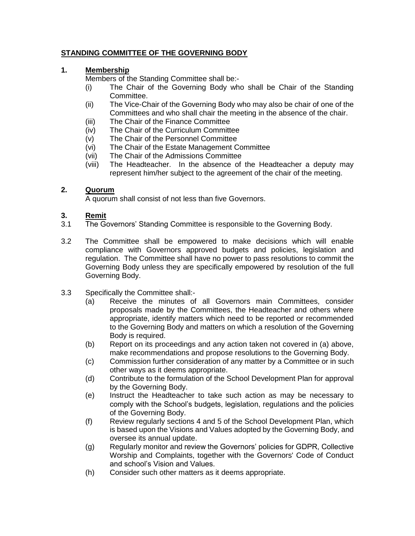## **STANDING COMMITTEE OF THE GOVERNING BODY**

### **1. Membership**

Members of the Standing Committee shall be:-

- (i) The Chair of the Governing Body who shall be Chair of the Standing Committee.
- (ii) The Vice-Chair of the Governing Body who may also be chair of one of the Committees and who shall chair the meeting in the absence of the chair.
- (iii) The Chair of the Finance Committee
- (iv) The Chair of the Curriculum Committee
- (v) The Chair of the Personnel Committee
- (vi) The Chair of the Estate Management Committee
- (vii) The Chair of the Admissions Committee
- (viii) The Headteacher. In the absence of the Headteacher a deputy may represent him/her subject to the agreement of the chair of the meeting.

## **2. Quorum**

A quorum shall consist of not less than five Governors.

### **3. Remit**

- 3.1 The Governors' Standing Committee is responsible to the Governing Body.
- 3.2 The Committee shall be empowered to make decisions which will enable compliance with Governors approved budgets and policies, legislation and regulation. The Committee shall have no power to pass resolutions to commit the Governing Body unless they are specifically empowered by resolution of the full Governing Body.
- 3.3 Specifically the Committee shall:-
	- (a) Receive the minutes of all Governors main Committees, consider proposals made by the Committees, the Headteacher and others where appropriate, identify matters which need to be reported or recommended to the Governing Body and matters on which a resolution of the Governing Body is required.
	- (b) Report on its proceedings and any action taken not covered in (a) above, make recommendations and propose resolutions to the Governing Body.
	- (c) Commission further consideration of any matter by a Committee or in such other ways as it deems appropriate.
	- (d) Contribute to the formulation of the School Development Plan for approval by the Governing Body.
	- (e) Instruct the Headteacher to take such action as may be necessary to comply with the School's budgets, legislation, regulations and the policies of the Governing Body.
	- (f) Review regularly sections 4 and 5 of the School Development Plan, which is based upon the Visions and Values adopted by the Governing Body, and oversee its annual update.
	- (g) Regularly monitor and review the Governors' policies for GDPR, Collective Worship and Complaints, together with the Governors' Code of Conduct and school's Vision and Values.
	- (h) Consider such other matters as it deems appropriate.